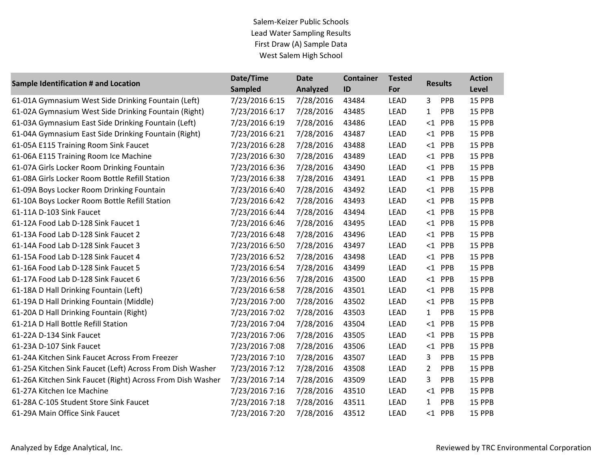| <b>Sample Identification # and Location</b>                | Date/Time      | <b>Date</b> | <b>Container</b> | <b>Tested</b> | <b>Results</b>      | <b>Action</b> |
|------------------------------------------------------------|----------------|-------------|------------------|---------------|---------------------|---------------|
|                                                            | <b>Sampled</b> | Analyzed    | ID               | For           |                     | Level         |
| 61-01A Gymnasium West Side Drinking Fountain (Left)        | 7/23/2016 6:15 | 7/28/2016   | 43484            | <b>LEAD</b>   | PPB<br>3            | 15 PPB        |
| 61-02A Gymnasium West Side Drinking Fountain (Right)       | 7/23/2016 6:17 | 7/28/2016   | 43485            | <b>LEAD</b>   | PPB<br>$\mathbf{1}$ | 15 PPB        |
| 61-03A Gymnasium East Side Drinking Fountain (Left)        | 7/23/2016 6:19 | 7/28/2016   | 43486            | LEAD          | $\leq$ 1<br>PPB     | 15 PPB        |
| 61-04A Gymnasium East Side Drinking Fountain (Right)       | 7/23/2016 6:21 | 7/28/2016   | 43487            | <b>LEAD</b>   | $<$ 1 PPB           | 15 PPB        |
| 61-05A E115 Training Room Sink Faucet                      | 7/23/2016 6:28 | 7/28/2016   | 43488            | <b>LEAD</b>   | $<$ 1 PPB           | 15 PPB        |
| 61-06A E115 Training Room Ice Machine                      | 7/23/2016 6:30 | 7/28/2016   | 43489            | LEAD          | $<$ 1 PPB           | 15 PPB        |
| 61-07A Girls Locker Room Drinking Fountain                 | 7/23/2016 6:36 | 7/28/2016   | 43490            | <b>LEAD</b>   | $<$ 1 PPB           | 15 PPB        |
| 61-08A Girls Locker Room Bottle Refill Station             | 7/23/2016 6:38 | 7/28/2016   | 43491            | LEAD          | $<$ 1 PPB           | 15 PPB        |
| 61-09A Boys Locker Room Drinking Fountain                  | 7/23/2016 6:40 | 7/28/2016   | 43492            | <b>LEAD</b>   | $<$ 1 PPB           | 15 PPB        |
| 61-10A Boys Locker Room Bottle Refill Station              | 7/23/2016 6:42 | 7/28/2016   | 43493            | LEAD          | $<$ 1 PPB           | 15 PPB        |
| 61-11A D-103 Sink Faucet                                   | 7/23/2016 6:44 | 7/28/2016   | 43494            | <b>LEAD</b>   | $<$ 1 PPB           | 15 PPB        |
| 61-12A Food Lab D-128 Sink Faucet 1                        | 7/23/2016 6:46 | 7/28/2016   | 43495            | <b>LEAD</b>   | $<$ 1 PPB           | 15 PPB        |
| 61-13A Food Lab D-128 Sink Faucet 2                        | 7/23/2016 6:48 | 7/28/2016   | 43496            | <b>LEAD</b>   | $<$ 1 PPB           | 15 PPB        |
| 61-14A Food Lab D-128 Sink Faucet 3                        | 7/23/2016 6:50 | 7/28/2016   | 43497            | <b>LEAD</b>   | $<$ 1 PPB           | 15 PPB        |
| 61-15A Food Lab D-128 Sink Faucet 4                        | 7/23/2016 6:52 | 7/28/2016   | 43498            | LEAD          | $<$ 1 PPB           | 15 PPB        |
| 61-16A Food Lab D-128 Sink Faucet 5                        | 7/23/2016 6:54 | 7/28/2016   | 43499            | LEAD          | $<$ 1 PPB           | 15 PPB        |
| 61-17A Food Lab D-128 Sink Faucet 6                        | 7/23/2016 6:56 | 7/28/2016   | 43500            | <b>LEAD</b>   | $<$ 1 PPB           | 15 PPB        |
| 61-18A D Hall Drinking Fountain (Left)                     | 7/23/2016 6:58 | 7/28/2016   | 43501            | <b>LEAD</b>   | $<$ 1 PPB           | 15 PPB        |
| 61-19A D Hall Drinking Fountain (Middle)                   | 7/23/2016 7:00 | 7/28/2016   | 43502            | <b>LEAD</b>   | $<$ 1 PPB           | 15 PPB        |
| 61-20A D Hall Drinking Fountain (Right)                    | 7/23/2016 7:02 | 7/28/2016   | 43503            | <b>LEAD</b>   | $\mathbf{1}$<br>PPB | 15 PPB        |
| 61-21A D Hall Bottle Refill Station                        | 7/23/2016 7:04 | 7/28/2016   | 43504            | LEAD          | $<$ 1 PPB           | 15 PPB        |
| 61-22A D-134 Sink Faucet                                   | 7/23/2016 7:06 | 7/28/2016   | 43505            | <b>LEAD</b>   | PPB<br>$\leq 1$     | 15 PPB        |
| 61-23A D-107 Sink Faucet                                   | 7/23/2016 7:08 | 7/28/2016   | 43506            | <b>LEAD</b>   | $<$ 1 PPB           | 15 PPB        |
| 61-24A Kitchen Sink Faucet Across From Freezer             | 7/23/2016 7:10 | 7/28/2016   | 43507            | <b>LEAD</b>   | PPB<br>3            | 15 PPB        |
| 61-25A Kitchen Sink Faucet (Left) Across From Dish Washer  | 7/23/2016 7:12 | 7/28/2016   | 43508            | <b>LEAD</b>   | $\mathbf{2}$<br>PPB | 15 PPB        |
| 61-26A Kitchen Sink Faucet (Right) Across From Dish Washer | 7/23/2016 7:14 | 7/28/2016   | 43509            | LEAD          | 3<br>PPB            | 15 PPB        |
| 61-27A Kitchen Ice Machine                                 | 7/23/2016 7:16 | 7/28/2016   | 43510            | LEAD          | $\leq$ 1<br>PPB     | 15 PPB        |
| 61-28A C-105 Student Store Sink Faucet                     | 7/23/2016 7:18 | 7/28/2016   | 43511            | LEAD          | PPB<br>$\mathbf{1}$ | 15 PPB        |
| 61-29A Main Office Sink Faucet                             | 7/23/2016 7:20 | 7/28/2016   | 43512            | <b>LEAD</b>   | $<$ 1 PPB           | 15 PPB        |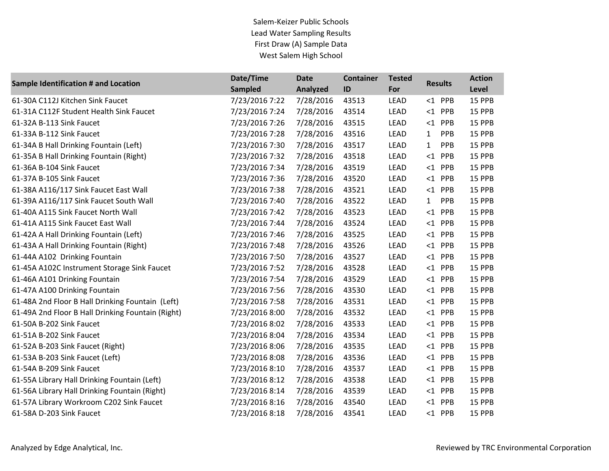| <b>Sample Identification # and Location</b>       | Date/Time      | <b>Date</b> | <b>Container</b> | <b>Tested</b> | <b>Results</b>      | <b>Action</b> |
|---------------------------------------------------|----------------|-------------|------------------|---------------|---------------------|---------------|
|                                                   | <b>Sampled</b> | Analyzed    | ID               | For           |                     | Level         |
| 61-30A C112J Kitchen Sink Faucet                  | 7/23/2016 7:22 | 7/28/2016   | 43513            | <b>LEAD</b>   | $<$ 1 PPB           | 15 PPB        |
| 61-31A C112F Student Health Sink Faucet           | 7/23/2016 7:24 | 7/28/2016   | 43514            | <b>LEAD</b>   | $<$ 1 PPB           | 15 PPB        |
| 61-32A B-113 Sink Faucet                          | 7/23/2016 7:26 | 7/28/2016   | 43515            | <b>LEAD</b>   | PPB<br>$\leq$ 1     | 15 PPB        |
| 61-33A B-112 Sink Faucet                          | 7/23/2016 7:28 | 7/28/2016   | 43516            | <b>LEAD</b>   | PPB<br>$\mathbf{1}$ | 15 PPB        |
| 61-34A B Hall Drinking Fountain (Left)            | 7/23/2016 7:30 | 7/28/2016   | 43517            | <b>LEAD</b>   | PPB<br>$\mathbf{1}$ | 15 PPB        |
| 61-35A B Hall Drinking Fountain (Right)           | 7/23/2016 7:32 | 7/28/2016   | 43518            | <b>LEAD</b>   | $\leq$ 1<br>PPB     | 15 PPB        |
| 61-36A B-104 Sink Faucet                          | 7/23/2016 7:34 | 7/28/2016   | 43519            | <b>LEAD</b>   | $<$ 1 PPB           | 15 PPB        |
| 61-37A B-105 Sink Faucet                          | 7/23/2016 7:36 | 7/28/2016   | 43520            | LEAD          | PPB<br>$\leq 1$     | 15 PPB        |
| 61-38A A116/117 Sink Faucet East Wall             | 7/23/2016 7:38 | 7/28/2016   | 43521            | <b>LEAD</b>   | $<$ 1 PPB           | 15 PPB        |
| 61-39A A116/117 Sink Faucet South Wall            | 7/23/2016 7:40 | 7/28/2016   | 43522            | <b>LEAD</b>   | PPB<br>$\mathbf{1}$ | 15 PPB        |
| 61-40A A115 Sink Faucet North Wall                | 7/23/2016 7:42 | 7/28/2016   | 43523            | LEAD          | PPB<br>$\leq 1$     | 15 PPB        |
| 61-41A A115 Sink Faucet East Wall                 | 7/23/2016 7:44 | 7/28/2016   | 43524            | <b>LEAD</b>   | $<1$ PPB            | 15 PPB        |
| 61-42A A Hall Drinking Fountain (Left)            | 7/23/2016 7:46 | 7/28/2016   | 43525            | <b>LEAD</b>   | $<$ 1 PPB           | 15 PPB        |
| 61-43A A Hall Drinking Fountain (Right)           | 7/23/2016 7:48 | 7/28/2016   | 43526            | <b>LEAD</b>   | $<$ 1 PPB           | 15 PPB        |
| 61-44A A102 Drinking Fountain                     | 7/23/2016 7:50 | 7/28/2016   | 43527            | <b>LEAD</b>   | $<$ 1 PPB           | 15 PPB        |
| 61-45A A102C Instrument Storage Sink Faucet       | 7/23/2016 7:52 | 7/28/2016   | 43528            | LEAD          | $<$ 1 PPB           | 15 PPB        |
| 61-46A A101 Drinking Fountain                     | 7/23/2016 7:54 | 7/28/2016   | 43529            | <b>LEAD</b>   | $<$ 1 PPB           | 15 PPB        |
| 61-47A A100 Drinking Fountain                     | 7/23/2016 7:56 | 7/28/2016   | 43530            | LEAD          | $<$ 1 PPB           | 15 PPB        |
| 61-48A 2nd Floor B Hall Drinking Fountain (Left)  | 7/23/2016 7:58 | 7/28/2016   | 43531            | LEAD          | $<$ 1 PPB           | 15 PPB        |
| 61-49A 2nd Floor B Hall Drinking Fountain (Right) | 7/23/2016 8:00 | 7/28/2016   | 43532            | LEAD          | PPB<br>$\leq 1$     | 15 PPB        |
| 61-50A B-202 Sink Faucet                          | 7/23/2016 8:02 | 7/28/2016   | 43533            | LEAD          | $<$ 1 PPB           | 15 PPB        |
| 61-51A B-202 Sink Faucet                          | 7/23/2016 8:04 | 7/28/2016   | 43534            | <b>LEAD</b>   | $<$ 1 PPB           | 15 PPB        |
| 61-52A B-203 Sink Faucet (Right)                  | 7/23/2016 8:06 | 7/28/2016   | 43535            | LEAD          | $<$ 1 PPB           | 15 PPB        |
| 61-53A B-203 Sink Faucet (Left)                   | 7/23/2016 8:08 | 7/28/2016   | 43536            | <b>LEAD</b>   | $<$ 1 PPB           | 15 PPB        |
| 61-54A B-209 Sink Faucet                          | 7/23/2016 8:10 | 7/28/2016   | 43537            | LEAD          | $<$ 1 PPB           | 15 PPB        |
| 61-55A Library Hall Drinking Fountain (Left)      | 7/23/2016 8:12 | 7/28/2016   | 43538            | LEAD          | $<$ 1 PPB           | 15 PPB        |
| 61-56A Library Hall Drinking Fountain (Right)     | 7/23/2016 8:14 | 7/28/2016   | 43539            | LEAD          | $<$ 1 PPB           | 15 PPB        |
| 61-57A Library Workroom C202 Sink Faucet          | 7/23/2016 8:16 | 7/28/2016   | 43540            | LEAD          | $<$ 1 PPB           | 15 PPB        |
| 61-58A D-203 Sink Faucet                          | 7/23/2016 8:18 | 7/28/2016   | 43541            | <b>LEAD</b>   | $<$ 1 PPB           | 15 PPB        |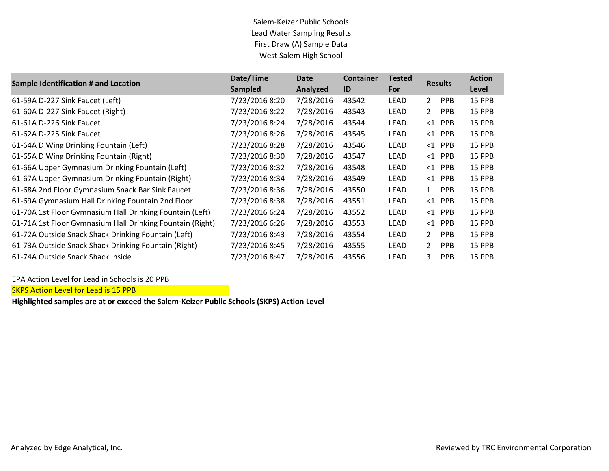| Sample Identification # and Location                      | Date/Time      | Date      | <b>Container</b> | <b>Tested</b> | <b>Results</b> |            | <b>Action</b> |
|-----------------------------------------------------------|----------------|-----------|------------------|---------------|----------------|------------|---------------|
|                                                           | <b>Sampled</b> | Analyzed  | ID               | For           |                |            | Level         |
| 61-59A D-227 Sink Faucet (Left)                           | 7/23/2016 8:20 | 7/28/2016 | 43542            | LEAD          | $\mathbf{2}$   | <b>PPB</b> | 15 PPB        |
| 61-60A D-227 Sink Faucet (Right)                          | 7/23/2016 8:22 | 7/28/2016 | 43543            | <b>LEAD</b>   | $\mathbf{2}$   | <b>PPB</b> | 15 PPB        |
| 61-61A D-226 Sink Faucet                                  | 7/23/2016 8:24 | 7/28/2016 | 43544            | <b>LEAD</b>   | $\leq 1$       | <b>PPB</b> | 15 PPB        |
| 61-62A D-225 Sink Faucet                                  | 7/23/2016 8:26 | 7/28/2016 | 43545            | LEAD          | $\leq 1$       | <b>PPB</b> | 15 PPB        |
| 61-64A D Wing Drinking Fountain (Left)                    | 7/23/2016 8:28 | 7/28/2016 | 43546            | LEAD          | $\leq 1$       | <b>PPB</b> | 15 PPB        |
| 61-65A D Wing Drinking Fountain (Right)                   | 7/23/2016 8:30 | 7/28/2016 | 43547            | <b>LEAD</b>   | $\leq 1$       | <b>PPB</b> | 15 PPB        |
| 61-66A Upper Gymnasium Drinking Fountain (Left)           | 7/23/2016 8:32 | 7/28/2016 | 43548            | <b>LEAD</b>   | $\leq 1$       | <b>PPB</b> | 15 PPB        |
| 61-67A Upper Gymnasium Drinking Fountain (Right)          | 7/23/2016 8:34 | 7/28/2016 | 43549            | <b>LEAD</b>   | $\leq 1$       | <b>PPB</b> | 15 PPB        |
| 61-68A 2nd Floor Gymnasium Snack Bar Sink Faucet          | 7/23/2016 8:36 | 7/28/2016 | 43550            | LEAD          | $\mathbf{1}$   | <b>PPB</b> | 15 PPB        |
| 61-69A Gymnasium Hall Drinking Fountain 2nd Floor         | 7/23/2016 8:38 | 7/28/2016 | 43551            | LEAD          | $\leq 1$       | <b>PPB</b> | 15 PPB        |
| 61-70A 1st Floor Gymnasium Hall Drinking Fountain (Left)  | 7/23/2016 6:24 | 7/28/2016 | 43552            | <b>LEAD</b>   | $\leq$ 1       | <b>PPB</b> | 15 PPB        |
| 61-71A 1st Floor Gymnasium Hall Drinking Fountain (Right) | 7/23/2016 6:26 | 7/28/2016 | 43553            | <b>LEAD</b>   | $\leq 1$       | <b>PPB</b> | 15 PPB        |
| 61-72A Outside Snack Shack Drinking Fountain (Left)       | 7/23/2016 8:43 | 7/28/2016 | 43554            | LEAD          | $\mathbf{2}$   | <b>PPB</b> | 15 PPB        |
| 61-73A Outside Snack Shack Drinking Fountain (Right)      | 7/23/2016 8:45 | 7/28/2016 | 43555            | LEAD          | $\overline{2}$ | <b>PPB</b> | 15 PPB        |
| 61-74A Outside Snack Shack Inside                         | 7/23/2016 8:47 | 7/28/2016 | 43556            | LEAD          | 3              | <b>PPB</b> | 15 PPB        |

EPA Action Level for Lead in Schools is 20 PPB

SKPS Action Level for Lead is 15 PPB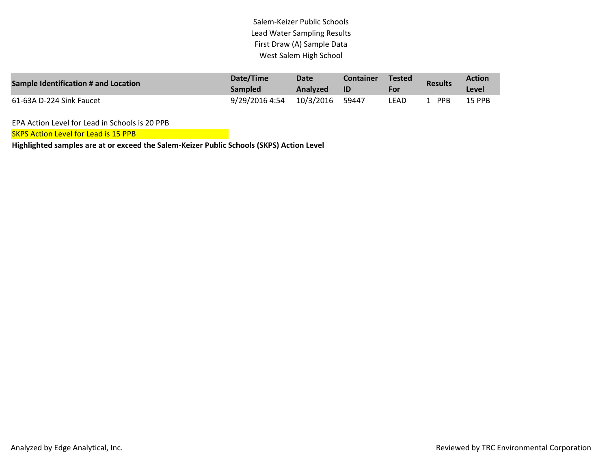| Sample Identification # and Location | Date/Time                 | Date     | Container | <b>Tested</b> | <b>Results</b> | <b>Action</b> |
|--------------------------------------|---------------------------|----------|-----------|---------------|----------------|---------------|
|                                      | <b>Sampled</b>            | Analyzed | -ID       | For           |                | Level         |
| 61-63A D-224 Sink Faucet             | 9/29/2016 4:54  10/3/2016 |          | 59447     | LEAD          | <b>PPB</b>     | <b>15 PPB</b> |

EPA Action Level for Lead in Schools is 20 PPB

**SKPS Action Level for Lead is 15 PPB**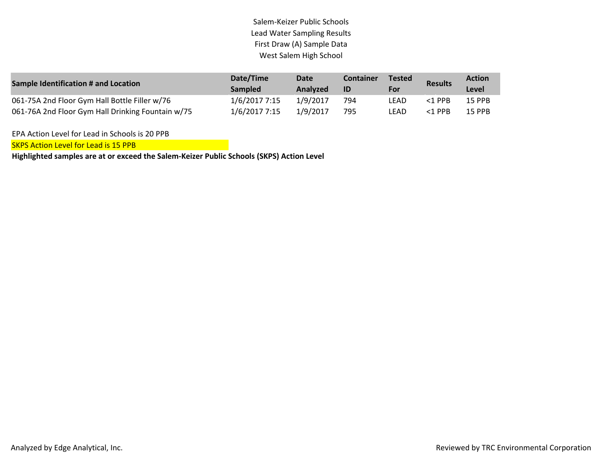| Sample Identification # and Location              | Date/Time<br><b>Sampled</b> | Date<br>Analyzed | Container<br>ID | <b>Tested</b><br>For | <b>Results</b> | <b>Action</b><br>Level |
|---------------------------------------------------|-----------------------------|------------------|-----------------|----------------------|----------------|------------------------|
| 061-75A 2nd Floor Gym Hall Bottle Filler w/76     | 1/6/2017 7:15               | 1/9/2017         | 794             | LEAD                 | $<$ 1 PPR      | 15 PPB                 |
| 061-76A 2nd Floor Gym Hall Drinking Fountain w/75 | 1/6/2017 7:15               | 1/9/2017         | 795             | LEAD                 | $<$ 1 PPR      | <b>15 PPB</b>          |

EPA Action Level for Lead in Schools is 20 PPB

SKPS Action Level for Lead is 15 PPB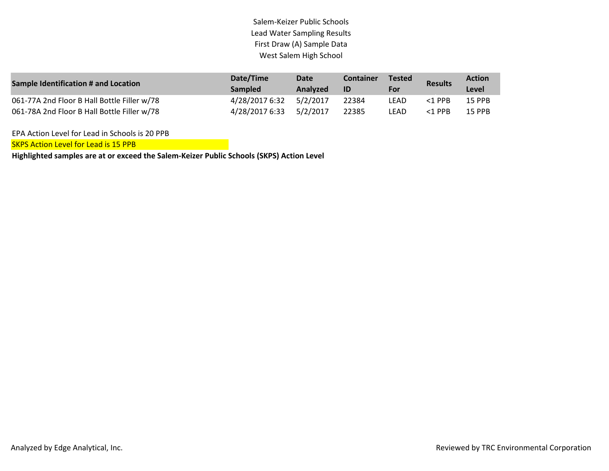| Sample Identification # and Location        | Date/Time<br><b>Sampled</b> | Date<br>Analyzed | <b>Container</b><br>-ID | <b>Tested</b><br>For | <b>Results</b> | <b>Action</b><br>Level |
|---------------------------------------------|-----------------------------|------------------|-------------------------|----------------------|----------------|------------------------|
|                                             |                             |                  |                         |                      |                |                        |
| 061-77A 2nd Floor B Hall Bottle Filler w/78 | 4/28/2017 6:32              | 5/2/2017         | 22384                   | LEAD                 | $<$ 1 PPB      | 15 PPB                 |
| 061-78A 2nd Floor B Hall Bottle Filler w/78 | 4/28/2017 6:33 5/2/2017     |                  | 22385                   | LEAD                 | $<$ 1 PPB      | 15 PPB                 |

EPA Action Level for Lead in Schools is 20 PPB

SKPS Action Level for Lead is 15 PPB